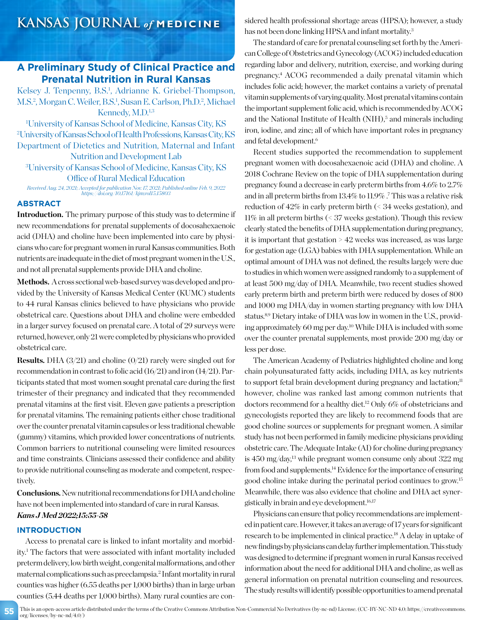## **A Preliminary Study of Clinical Practice and Prenatal Nutrition in Rural Kansas**

Kelsey J. Tenpenny, B.S.<sup>1</sup>, Adrianne K. Griebel-Thompson, M.S.<sup>2</sup>, Morgan C. Weiler, B.S.<sup>1</sup>, Susan E. Carlson, Ph.D.<sup>2</sup>, Michael Kennedy, M.D.<sup>1,3</sup>

1 University of Kansas School of Medicine, Kansas City, KS 2 University of Kansas School of Health Professions, Kansas City, KS Department of Dietetics and Nutrition, Maternal and Infant Nutrition and Development Lab

3 University of Kansas School of Medicine, Kansas City, KS Office of Rural Medical Education

*Received Aug. 24, 2021; Accepted for publication Nov. 17, 2021; Published online Feb. 9, 2022 https://doi.org/10.17161/kjm.vol15.15803*

### **ABSTRACT**

**Introduction.** The primary purpose of this study was to determine if new recommendations for prenatal supplements of docosahexaenoic acid (DHA) and choline have been implemented into care by physicians who care for pregnant women in rural Kansas communities. Both nutrients are inadequate in the diet of most pregnant women in the U.S., and not all prenatal supplements provide DHA and choline.

Methods. A cross sectional web-based survey was developed and provided by the University of Kansas Medical Center (KUMC) students to 44 rural Kansas clinics believed to have physicians who provide obstetrical care. Questions about DHA and choline were embedded in a larger survey focused on prenatal care. A total of 29 surveys were returned, however, only 21 were completed by physicians who provided obstetrical care.

**Results.** DHA (3/21) and choline (0/21) rarely were singled out for recommendation in contrast to folic acid (16/21) and iron (14/21). Participants stated that most women sought prenatal care during the first trimester of their pregnancy and indicated that they recommended prenatal vitamins at the first visit. Eleven gave patients a prescription for prenatal vitamins. The remaining patients either chose traditional over the counter prenatal vitamin capsules or less traditional chewable (gummy) vitamins, which provided lower concentrations of nutrients. Common barriers to nutritional counseling were limited resources and time constraints. Clinicians assessed their confidence and ability to provide nutritional counseling as moderate and competent, respectively.

**Conclusions.**New nutritional recommendations for DHA and choline have not been implemented into standard of care in rural Kansas. *Kans J Med 2022;15:55-58*

### **INTRODUCTION**

Access to prenatal care is linked to infant mortality and morbidity.1 The factors that were associated with infant mortality included preterm delivery, low birth weight, congenital malformations, and other maternal complications such as preeclampsia.2 Infant mortality in rural counties was higher (6.55 deaths per 1,000 births) than in large urban counties (5.44 deaths per 1,000 births). Many rural counties are considered health professional shortage areas (HPSA); however, a study has not been done linking HPSA and infant mortality.<sup>3</sup>

The standard of care for prenatal counseling set forth by the American College of Obstetrics and Gynecology (ACOG) included education regarding labor and delivery, nutrition, exercise, and working during pregnancy.4 ACOG recommended a daily prenatal vitamin which includes folic acid; however, the market contains a variety of prenatal vitamin supplements of varying quality. Most prenatal vitamins contain the important supplement folic acid, which is recommended by ACOG and the National Institute of Health (NIH),<sup>5</sup> and minerals including iron, iodine, and zinc; all of which have important roles in pregnancy and fetal development.<sup>6</sup>

Recent studies supported the recommendation to supplement pregnant women with docosahexaenoic acid (DHA) and choline. A 2018 Cochrane Review on the topic of DHA supplementation during pregnancy found a decrease in early preterm births from 4.6% to 2.7% and in all preterm births from 13.4% to 11.9% .7 This was a relative risk reduction of 42% in early preterm birth (< 34 weeks gestation), and 11% in all preterm births (< 37 weeks gestation). Though this review clearly stated the benefits of DHA supplementation during pregnancy, it is important that gestation > 42 weeks was increased, as was large for gestation age (LGA) babies with DHA supplementation. While an optimal amount of DHA was not defined, the results largely were due to studies in which women were assigned randomly to a supplement of at least 500 mg/day of DHA. Meanwhile, two recent studies showed early preterm birth and preterm birth were reduced by doses of 800 and 1000 mg DHA/day in women starting pregnancy with low DHA status.8,9 Dietary intake of DHA was low in women in the U.S., providing approximately 60 mg per day.10 While DHA is included with some over the counter prenatal supplements, most provide 200 mg/day or less per dose.

The American Academy of Pediatrics highlighted choline and long chain polyunsaturated fatty acids, including DHA, as key nutrients to support fetal brain development during pregnancy and lactation;<sup>11</sup> however, choline was ranked last among common nutrients that doctors recommend for a healthy diet.<sup>12</sup> Only 6% of obstetricians and gynecologists reported they are likely to recommend foods that are good choline sources or supplements for pregnant women. A similar study has not been performed in family medicine physicians providing obstetric care. The Adequate Intake (AI) for choline during pregnancy is 450 mg/day,13 while pregnant women consume only about 322 mg from food and supplements.14 Evidence for the importance of ensuring good choline intake during the perinatal period continues to grow.15 Meanwhile, there was also evidence that choline and DHA act synergistically in brain and eye development.16,17

Physicians can ensure that policy recommendations are implemented in patient care. However, it takes an average of 17 years for significant research to be implemented in clinical practice.18 A delay in uptake of new findings by physicians can delay further implementation. This study was designed to determine if pregnant women in rural Kansas received information about the need for additional DHA and choline, as well as general information on prenatal nutrition counseling and resources. The study results will identify possible opportunities to amend prenatal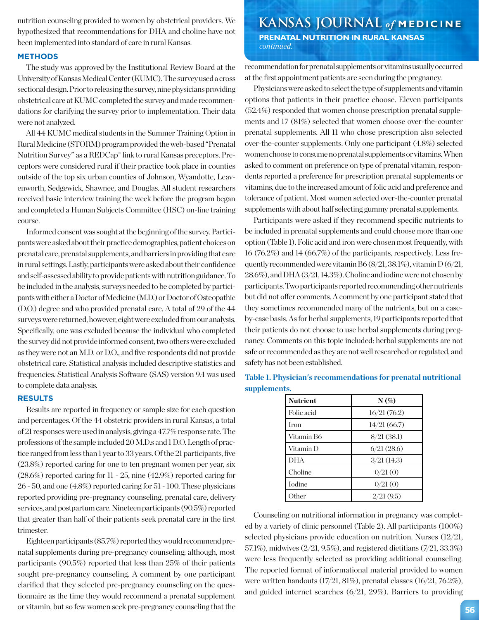nutrition counseling provided to women by obstetrical providers. We hypothesized that recommendations for DHA and choline have not been implemented into standard of care in rural Kansas.

### **METHODS**

The study was approved by the Institutional Review Board at the University of Kansas Medical Center (KUMC). The survey used a cross sectional design. Prior to releasing the survey, nine physicians providing obstetrical care at KUMC completed the survey and made recommendations for clarifying the survey prior to implementation. Their data were not analyzed.

All 44 KUMC medical students in the Summer Training Option in Rural Medicine (STORM) program provided the web-based "Prenatal Nutrition Survey" as a REDCap® link to rural Kansas preceptors. Preceptors were considered rural if their practice took place in counties outside of the top six urban counties of Johnson, Wyandotte, Leavenworth, Sedgewick, Shawnee, and Douglas. All student researchers received basic interview training the week before the program began and completed a Human Subjects Committee (HSC) on-line training course.

Informed consent was sought at the beginning of the survey. Participants were asked about their practice demographics, patient choices on prenatal care, prenatal supplements, and barriers in providing that care in rural settings. Lastly, participants were asked about their confidence and self-assessed ability to provide patients with nutrition guidance. To be included in the analysis, surveys needed to be completed by participants with either a Doctor of Medicine (M.D.) or Doctor of Osteopathic (D.O.) degree and who provided prenatal care. A total of 29 of the 44 surveys were returned, however, eight were excluded from our analysis. Specifically, one was excluded because the individual who completed the survey did not provide informed consent, two others were excluded as they were not an M.D. or D.O., and five respondents did not provide obstetrical care. Statistical analysis included descriptive statistics and frequencies. Statistical Analysis Software (SAS) version 9.4 was used to complete data analysis.

### **RESULTS**

Results are reported in frequency or sample size for each question and percentages. Of the 44 obstetric providers in rural Kansas, a total of 21 responses were used in analysis, giving a 47.7% response rate. The professions of the sample included 20 M.D.s and 1 D.O. Length of practice ranged from less than 1 year to 33 years. Of the 21 participants, five (23.8%) reported caring for one to ten pregnant women per year, six (28.6%) reported caring for 11 - 25, nine (42.9%) reported caring for 26 - 50, and one (4.8%) reported caring for 51 - 100. These physicians reported providing pre-pregnancy counseling, prenatal care, delivery services, and postpartum care. Nineteen participants (90.5%) reported that greater than half of their patients seek prenatal care in the first trimester.

Eighteen participants (85.7%) reported they would recommend prenatal supplements during pre-pregnancy counseling; although, most participants (90.5%) reported that less than 25% of their patients sought pre-pregnancy counseling. A comment by one participant clarified that they selected pre-pregnancy counseling on the questionnaire as the time they would recommend a prenatal supplement or vitamin, but so few women seek pre-pregnancy counseling that the

## **KANSAS JOURNAL** *of* **MEDICINE PRENATAL NUTRITION IN RURAL KANSAS**

 *continued.*

recommendation for prenatal supplements or vitamins usually occurred at the first appointment patients are seen during the pregnancy.

Physicians were asked to select the type of supplements and vitamin options that patients in their practice choose. Eleven participants (52.4%) responded that women choose prescription prenatal supplements and 17 (81%) selected that women choose over-the-counter prenatal supplements. All 11 who chose prescription also selected over-the-counter supplements. Only one participant (4.8%) selected women choose to consume no prenatal supplements or vitamins. When asked to comment on preference on type of prenatal vitamin, respondents reported a preference for prescription prenatal supplements or vitamins, due to the increased amount of folic acid and preference and tolerance of patient. Most women selected over-the-counter prenatal supplements with about half selecting gummy prenatal supplements.

Participants were asked if they recommend specific nutrients to be included in prenatal supplements and could choose more than one option (Table 1). Folic acid and iron were chosen most frequently, with 16 (76.2%) and 14 (66.7%) of the participants, respectively. Less frequently recommended were vitamin B6  $(8/21, 38.1\%)$ , vitamin D $(6/21, 38.1\%)$ 28.6%), and DHA (3/21, 14.3%). Choline and iodine were not chosen by participants. Two participants reported recommending other nutrients but did not offer comments. A comment by one participant stated that they sometimes recommended many of the nutrients, but on a caseby-case basis. As for herbal supplements, 19 participants reported that their patients do not choose to use herbal supplements during pregnancy. Comments on this topic included: herbal supplements are not safe or recommended as they are not well researched or regulated, and safety has not been established.

| <b>Nutrient</b> | $N(\%)$     |
|-----------------|-------------|
| Folic acid      | 16/21(76.2) |
| Iron            | 14/21(66.7) |
| Vitamin B6      | 8/21(38.1)  |
| Vitamin D       | 6/21(28.6)  |
| <b>DHA</b>      | 3/21(14.3)  |
| Choline         | 0/21(0)     |
| Iodine          | 0/21(0)     |
| Other           | 2/21(9.5)   |

**Table 1. Physician's recommendations for prenatal nutritional supplements.**

Counseling on nutritional information in pregnancy was completed by a variety of clinic personnel (Table 2). All participants (100%) selected physicians provide education on nutrition. Nurses (12/21, 57.1%), midwives (2/21, 9.5%), and registered dietitians (7/21, 33.3%) were less frequently selected as providing additional counseling. The reported format of informational material provided to women were written handouts (17/21, 81%), prenatal classes (16/21, 76.2%), and guided internet searches (6/21, 29%). Barriers to providing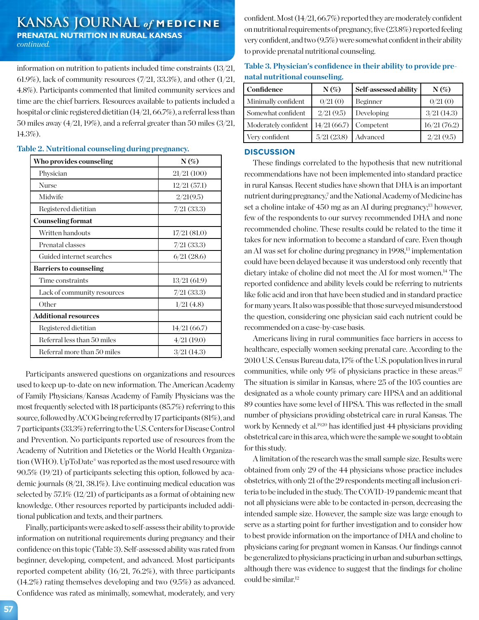## **KANSAS JOURNAL** *of* **MEDICINE PRENATAL NUTRITION IN RURAL KANSAS**

*continued.*

information on nutrition to patients included time constraints (13/21, 61.9%), lack of community resources  $(7/21, 33.3\%)$ , and other  $(1/21, 1)$ 4.8%). Participants commented that limited community services and time are the chief barriers. Resources available to patients included a hospital or clinic registered dietitian (14/21, 66.7%), a referral less than 50 miles away (4/21, 19%), and a referral greater than 50 miles (3/21, 14.3%).

| Who provides counseling       | $N(\%)$     |  |
|-------------------------------|-------------|--|
| Physician                     | 21/21(100)  |  |
| Nurse                         | 12/21(57.1) |  |
| Midwife                       | 2/21(9.5)   |  |
| Registered dietitian          | 7/21(33.3)  |  |
| <b>Counseling format</b>      |             |  |
| Written handouts              | 17/21(81.0) |  |
| Prenatal classes              | 7/21(33.3)  |  |
| Guided internet searches      | 6/21(28.6)  |  |
| <b>Barriers to counseling</b> |             |  |
| Time constraints              | 13/21(61.9) |  |
| Lack of community resources   | 7/21(33.3)  |  |
| Other                         | 1/21(4.8)   |  |
| Additional resources          |             |  |
| Registered dietitian          | 14/21(66.7) |  |
| Referral less than 50 miles   | 4/21(19.0)  |  |
| Referral more than 50 miles   | 3/21(14.3)  |  |

### **Table 2. Nutritional counseling during pregnancy.**

Participants answered questions on organizations and resources used to keep up-to-date on new information. The American Academy of Family Physicians/Kansas Academy of Family Physicians was the most frequently selected with 18 participants (85.7%) referring to this source, followed by ACOG being referred by 17 participants (81%), and 7 participants (33.3%) referring to the U.S. Centers for Disease Control and Prevention. No participants reported use of resources from the Academy of Nutrition and Dietetics or the World Health Organization (WHO). UpToDate® was reported as the most used resource with 90.5% (19/21) of participants selecting this option, followed by academic journals (8/21, 38.1%). Live continuing medical education was selected by 57.1% (12/21) of participants as a format of obtaining new knowledge. Other resources reported by participants included additional publication and texts, and their partners.

Finally, participants were asked to self-assess their ability to provide information on nutritional requirements during pregnancy and their confidence on this topic (Table 3). Self-assessed ability was rated from beginner, developing, competent, and advanced. Most participants reported competent ability (16/21, 76.2%), with three participants (14.2%) rating themselves developing and two (9.5%) as advanced. Confidence was rated as minimally, somewhat, moderately, and very confident. Most (14/21, 66.7%) reported they are moderately confident on nutritional requirements of pregnancy, five (23.8%) reported feeling very confident, and two (9.5%) were somewhat confident in their ability to provide prenatal nutritional counseling.

| Table 3. Physician's confidence in their ability to provide pre- |  |
|------------------------------------------------------------------|--|
| natal nutritional counseling.                                    |  |

| Confidence           | $N(\%)$                 | Self-assessed ability | $N(\%)$     |
|----------------------|-------------------------|-----------------------|-------------|
| Minimally confident  | 0/21(0)                 | Beginner              | 0/21(0)     |
| Somewhat confident   | 2/21(9.5)               | Developing            | 3/21(14.3)  |
| Moderately confident | $14/21(66.7)$ Competent |                       | 16/21(76.2) |
| Very confident       | 5/21(23.8)              | Advanced              | 2/21(9.5)   |

### **DISCUSSION**

These findings correlated to the hypothesis that new nutritional recommendations have not been implemented into standard practice in rural Kansas. Recent studies have shown that DHA is an important nutrient during pregnancy,<sup>7</sup> and the National Academy of Medicine has set a choline intake of 450 mg as an AI during pregnancy;<sup>13</sup> however, few of the respondents to our survey recommended DHA and none recommended choline. These results could be related to the time it takes for new information to become a standard of care. Even though an AI was set for choline during pregnancy in 1998,<sup>13</sup> implementation could have been delayed because it was understood only recently that dietary intake of choline did not meet the AI for most women.14 The reported confidence and ability levels could be referring to nutrients like folic acid and iron that have been studied and in standard practice for many years. It also was possible that those surveyed misunderstood the question, considering one physician said each nutrient could be recommended on a case-by-case basis.

Americans living in rural communities face barriers in access to healthcare, especially women seeking prenatal care. According to the 2010 U.S. Census Bureau data, 17% of the U.S. population lives in rural communities, while only 9% of physicians practice in these areas.<sup>17</sup> The situation is similar in Kansas, where 25 of the 105 counties are designated as a whole county primary care HPSA and an additional 89 counties have some level of HPSA. This was reflected in the small number of physicians providing obstetrical care in rural Kansas. The work by Kennedy et al.<sup>19,20</sup> has identified just 44 physicians providing obstetrical care in this area, which were the sample we sought to obtain for this study.

A limitation of the research was the small sample size. Results were obtained from only 29 of the 44 physicians whose practice includes obstetrics, with only 21 of the 29 respondents meeting all inclusion criteria to be included in the study. The COVID-19 pandemic meant that not all physicians were able to be contacted in-person, decreasing the intended sample size. However, the sample size was large enough to serve as a starting point for further investigation and to consider how to best provide information on the importance of DHA and choline to physicians caring for pregnant women in Kansas. Our findings cannot be generalized to physicians practicing in urban and suburban settings, although there was evidence to suggest that the findings for choline could be similar.12